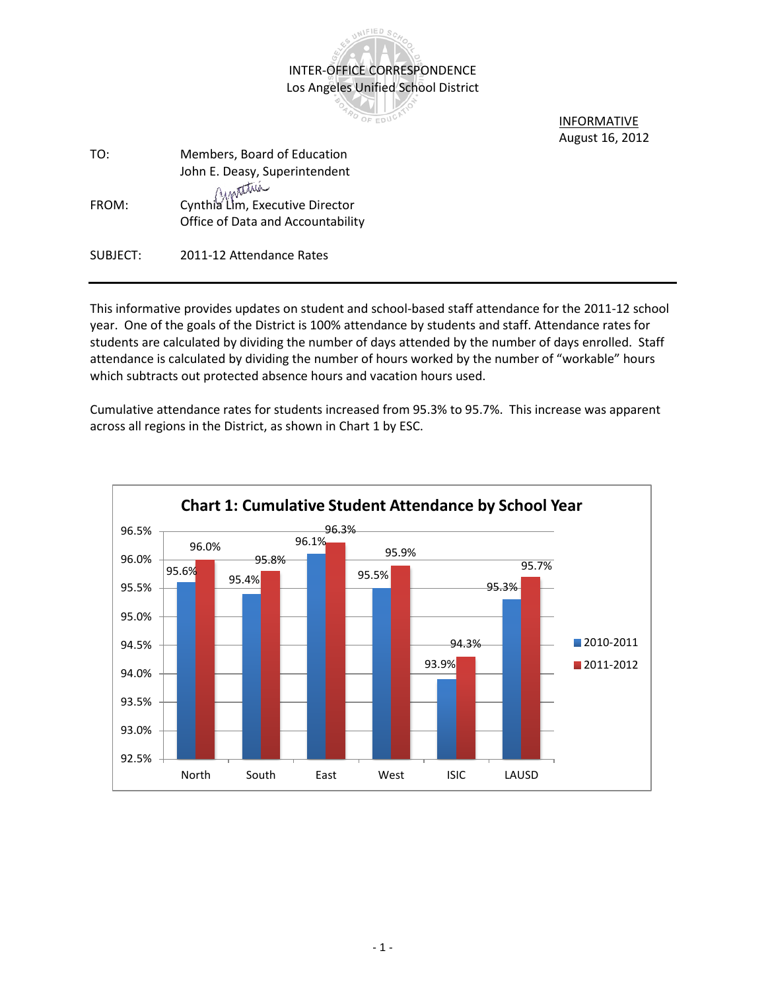

OF EDUC

 INFORMATIVE August 16, 2012

| TO:      | Members, Board of Education<br>John E. Deasy, Superintendent         |
|----------|----------------------------------------------------------------------|
| FROM:    | Cynthia Lim, Executive Director<br>Office of Data and Accountability |
| SUBJECT: | 2011-12 Attendance Rates                                             |

This informative provides updates on student and school-based staff attendance for the 2011-12 school year. One of the goals of the District is 100% attendance by students and staff. Attendance rates for students are calculated by dividing the number of days attended by the number of days enrolled. Staff attendance is calculated by dividing the number of hours worked by the number of "workable" hours which subtracts out protected absence hours and vacation hours used.

Cumulative attendance rates for students increased from 95.3% to 95.7%. This increase was apparent across all regions in the District, as shown in Chart 1 by ESC.

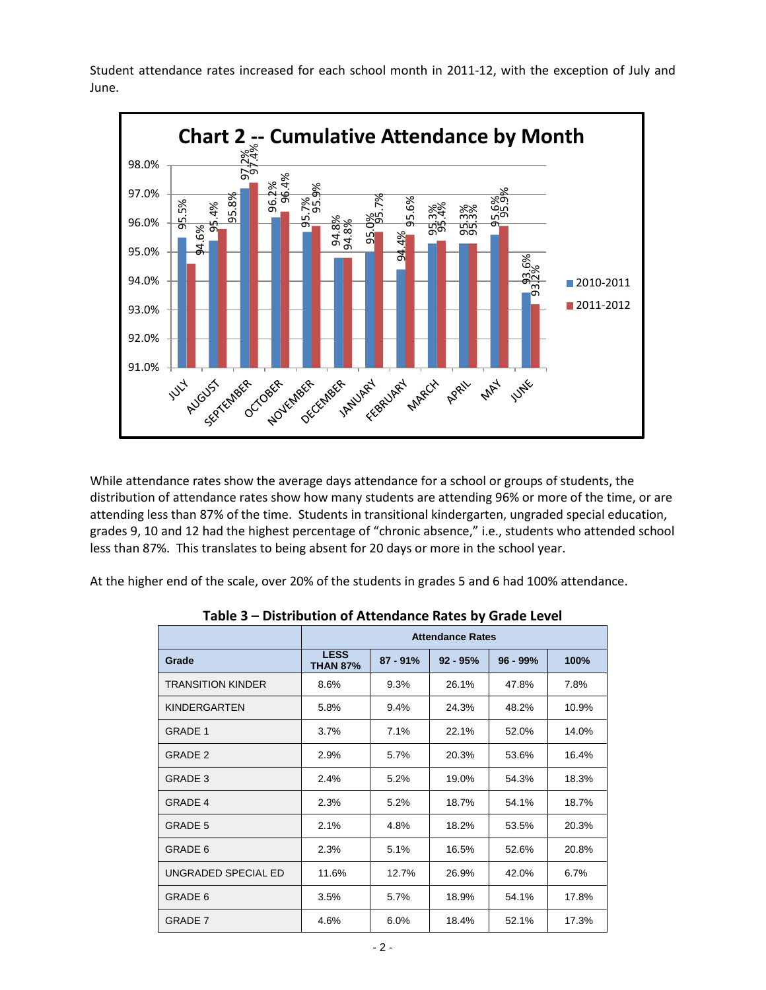Student attendance rates increased for each school month in 2011-12, with the exception of July and June.



While attendance rates show the average days attendance for a school or groups of students, the distribution of attendance rates show how many students are attending 96% or more of the time, or are attending less than 87% of the time. Students in transitional kindergarten, ungraded special education, grades 9, 10 and 12 had the highest percentage of "chronic absence," i.e., students who attended school less than 87%. This translates to being absent for 20 days or more in the school year.

At the higher end of the scale, over 20% of the students in grades 5 and 6 had 100% attendance.

|                          | <b>Attendance Rates</b>        |            |            |            |       |
|--------------------------|--------------------------------|------------|------------|------------|-------|
| Grade                    | <b>LESS</b><br><b>THAN 87%</b> | $87 - 91%$ | $92 - 95%$ | $96 - 99%$ | 100%  |
| <b>TRANSITION KINDER</b> | 8.6%                           | 9.3%       | 26.1%      | 47.8%      | 7.8%  |
| <b>KINDERGARTEN</b>      | 5.8%                           | 9.4%       | 24.3%      | 48.2%      | 10.9% |
| <b>GRADE 1</b>           | 3.7%                           | 7.1%       | 22.1%      | 52.0%      | 14.0% |
| GRADE 2                  | 2.9%                           | 5.7%       | 20.3%      | 53.6%      | 16.4% |
| <b>GRADE 3</b>           | 2.4%                           | 5.2%       | 19.0%      | 54.3%      | 18.3% |
| <b>GRADE 4</b>           | 2.3%                           | 5.2%       | 18.7%      | 54.1%      | 18.7% |
| <b>GRADE 5</b>           | 2.1%                           | 4.8%       | 18.2%      | 53.5%      | 20.3% |
| GRADE 6                  | 2.3%                           | 5.1%       | 16.5%      | 52.6%      | 20.8% |
| UNGRADED SPECIAL ED      | 11.6%                          | 12.7%      | 26.9%      | 42.0%      | 6.7%  |
| GRADE 6                  | 3.5%                           | 5.7%       | 18.9%      | 54.1%      | 17.8% |
| <b>GRADE 7</b>           | 4.6%                           | 6.0%       | 18.4%      | 52.1%      | 17.3% |

|  |  |  | Table 3 - Distribution of Attendance Rates by Grade Level |  |  |
|--|--|--|-----------------------------------------------------------|--|--|
|--|--|--|-----------------------------------------------------------|--|--|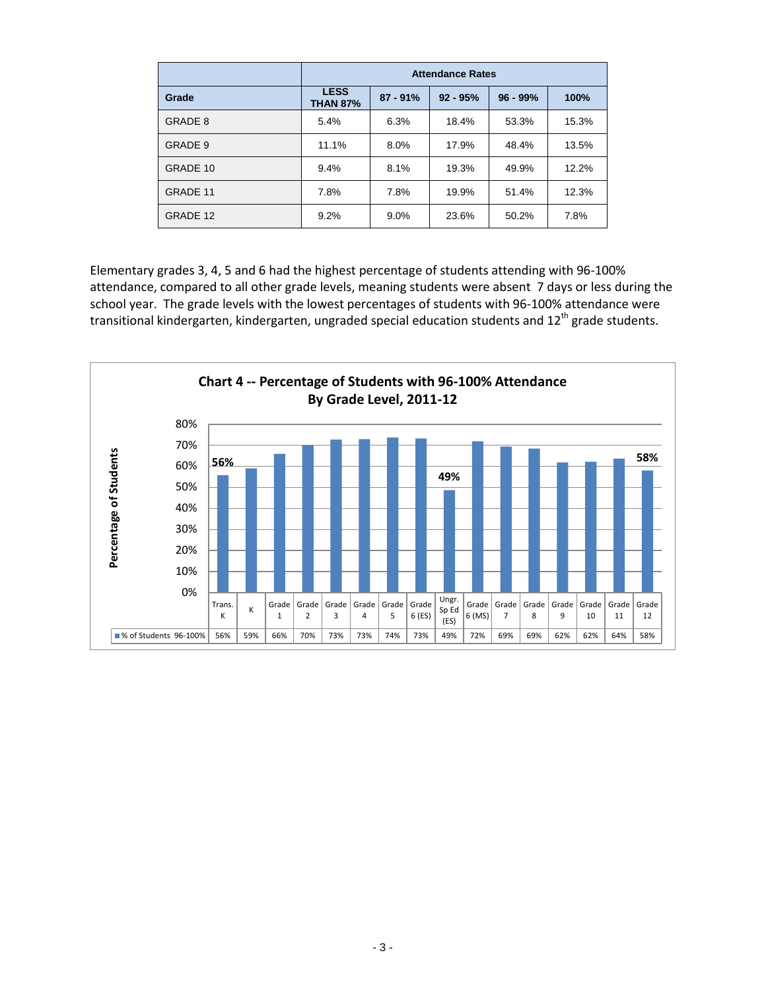|          | <b>Attendance Rates</b>        |            |            |            |       |
|----------|--------------------------------|------------|------------|------------|-------|
| Grade    | <b>LESS</b><br><b>THAN 87%</b> | $87 - 91%$ | $92 - 95%$ | $96 - 99%$ | 100%  |
| GRADE 8  | 5.4%                           | 6.3%       | 18.4%      | 53.3%      | 15.3% |
| GRADE 9  | 11.1%                          | 8.0%       | 17.9%      | 48.4%      | 13.5% |
| GRADE 10 | 9.4%                           | 8.1%       | 19.3%      | 49.9%      | 12.2% |
| GRADE 11 | 7.8%                           | 7.8%       | 19.9%      | 51.4%      | 12.3% |
| GRADE 12 | 9.2%                           | 9.0%       | 23.6%      | 50.2%      | 7.8%  |

Elementary grades 3, 4, 5 and 6 had the highest percentage of students attending with 96-100% attendance, compared to all other grade levels, meaning students were absent 7 days or less during the school year. The grade levels with the lowest percentages of students with 96-100% attendance were transitional kindergarten, kindergarten, ungraded special education students and  $12^{th}$  grade students.

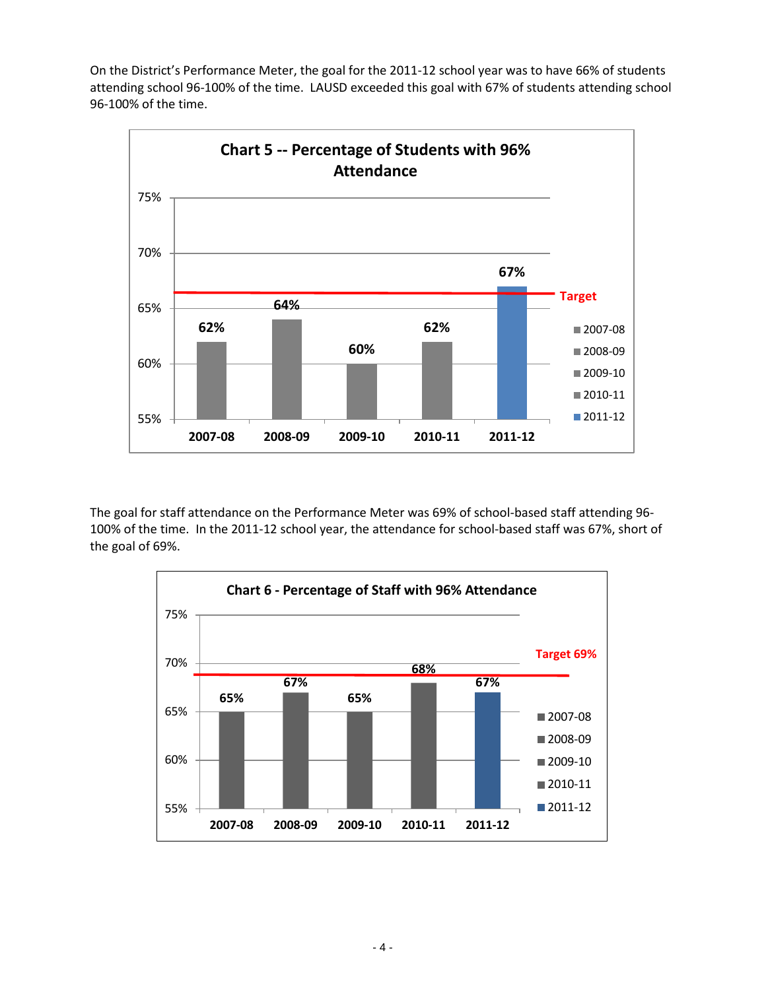On the District's Performance Meter, the goal for the 2011-12 school year was to have 66% of students attending school 96-100% of the time. LAUSD exceeded this goal with 67% of students attending school 96-100% of the time.



The goal for staff attendance on the Performance Meter was 69% of school-based staff attending 96- 100% of the time. In the 2011-12 school year, the attendance for school-based staff was 67%, short of the goal of 69%.